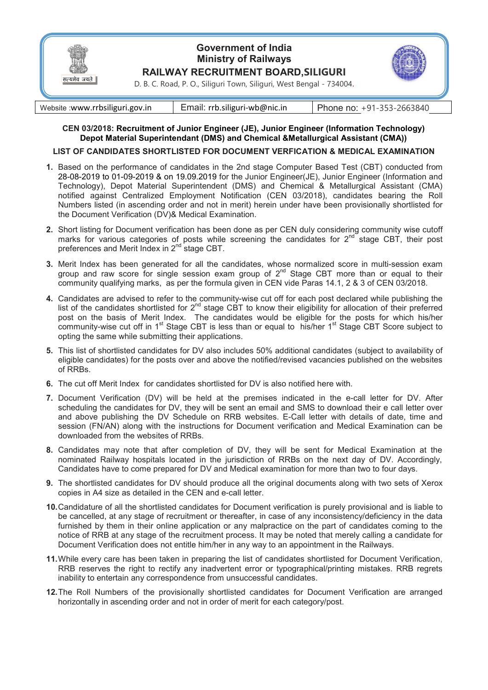

## **Government of India Ministry of Railways RAILWAY RECRUITMENT BOARD,SILIGURI**



D. B. C. Road, P. O., Siliguri Town, Siliguri, West Bengal - 734004.

| Website :www.rrbsiliguri.gov.in | Email: rrb.siliguri-wb@nic.in | Phone no: $+91-353-2663840$ |
|---------------------------------|-------------------------------|-----------------------------|

## **CEN 03/2018: Recruitment of Junior Engineer (JE), Junior Engineer (Information Technology) Depot Material Superintendant (DMS) and Chemical &Metallurgical Assistant (CMA))**

## **LIST OF CANDIDATES SHORTLISTED FOR DOCUMENT VERFICATION & MEDICAL EXAMINATION**

- **1.** Based on the performance of candidates in the 2nd stage Computer Based Test (CBT) conducted from 28-08-2019 to 01-09-2019 & on 19.09.2019 for the Junior Engineer(JE), Junior Engineer (Information and Technology), Depot Material Superintendent (DMS) and Chemical & Metallurgical Assistant (CMA) notified against Centralized Employment Notification (CEN 03/2018), candidates bearing the Roll Numbers listed (in ascending order and not in merit) herein under have been provisionally shortlisted for the Document Verification (DV)& Medical Examination.
- **2.** Short listing for Document verification has been done as per CEN duly considering community wise cutoff marks for various categories of posts while screening the candidates for  $2^{nd}$  stage CBT, their post preferences and Merit Index in 2<sup>nd</sup> stage CBT.
- **3.** Merit Index has been generated for all the candidates, whose normalized score in multi-session exam group and raw score for single session exam group of 2<sup>nd</sup> Stage CBT more than or equal to their community qualifying marks, as per the formula given in CEN vide Paras 14.1, 2 & 3 of CEN 03/2018.
- **4.** Candidates are advised to refer to the community-wise cut off for each post declared while publishing the list of the candidates shortlisted for  $2^{nd}$  stage CBT to know their eligibility for allocation of their preferred post on the basis of Merit Index. The candidates would be eligible for the posts for which his/her community-wise cut off in 1<sup>st</sup> Stage CBT is less than or equal to his/her 1<sup>st</sup> Stage CBT Score subject to opting the same while submitting their applications.
- **5.** This list of shortlisted candidates for DV also includes 50% additional candidates (subject to availability of eligible candidates) for the posts over and above the notified/revised vacancies published on the websites of RRBs.
- **6.** The cut off Merit Index for candidates shortlisted for DV is also notified here with.
- **7.** Document Verification (DV) will be held at the premises indicated in the e-call letter for DV. After scheduling the candidates for DV, they will be sent an email and SMS to download their e call letter over and above publishing the DV Schedule on RRB websites. E-Call letter with details of date, time and session (FN/AN) along with the instructions for Document verification and Medical Examination can be downloaded from the websites of RRBs.
- **8.** Candidates may note that after completion of DV, they will be sent for Medical Examination at the nominated Railway hospitals located in the jurisdiction of RRBs on the next day of DV. Accordingly, Candidates have to come prepared for DV and Medical examination for more than two to four days.
- **9.** The shortlisted candidates for DV should produce all the original documents along with two sets of Xerox copies in A4 size as detailed in the CEN and e-call letter.
- **10.** Candidature of all the shortlisted candidates for Document verification is purely provisional and is liable to be cancelled, at any stage of recruitment or thereafter, in case of any inconsistency/deficiency in the data furnished by them in their online application or any malpractice on the part of candidates coming to the notice of RRB at any stage of the recruitment process. It may be noted that merely calling a candidate for Document Verification does not entitle him/her in any way to an appointment in the Railways.
- **11.** While every care has been taken in preparing the list of candidates shortlisted for Document Verification, RRB reserves the right to rectify any inadvertent error or typographical/printing mistakes. RRB regrets inability to entertain any correspondence from unsuccessful candidates.
- **12.** The Roll Numbers of the provisionally shortlisted candidates for Document Verification are arranged horizontally in ascending order and not in order of merit for each category/post.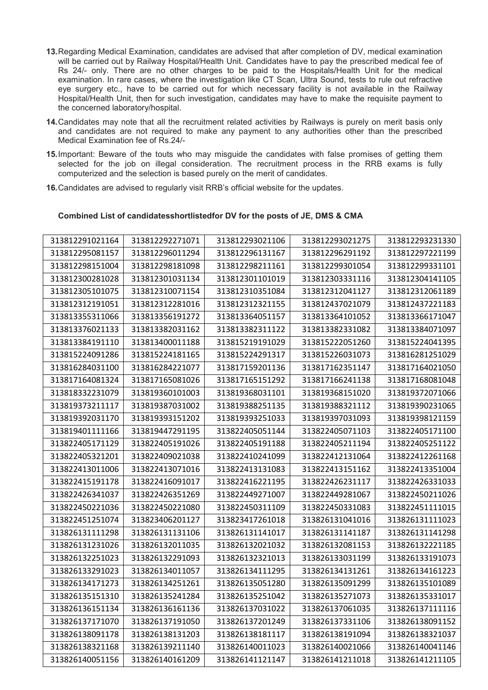- **13.** Regarding Medical Examination, candidates are advised that after completion of DV, medical examination will be carried out by Railway Hospital/Health Unit. Candidates have to pay the prescribed medical fee of Rs 24/- only. There are no other charges to be paid to the Hospitals/Health Unit for the medical examination. In rare cases, where the investigation like CT Scan, Ultra Sound, tests to rule out refractive eye surgery etc., have to be carried out for which necessary facility is not available in the Railway Hospital/Health Unit, then for such investigation, candidates may have to make the requisite payment to the concerned laboratory/hospital.
- **14.** Candidates may note that all the recruitment related activities by Railways is purely on merit basis only and candidates are not required to make any payment to any authorities other than the prescribed Medical Examination fee of Rs.24/-
- **15.** Important: Beware of the touts who may misguide the candidates with false promises of getting them selected for the job on illegal consideration. The recruitment process in the RRB exams is fully computerized and the selection is based purely on the merit of candidates.
- **16.** Candidates are advised to regularly visit RRB's official website for the updates.

## **Combined List of candidatesshortlistedfor DV for the posts of JE, DMS & CMA**

| 313812291021164 | 313812292271071 | 313812293021106 | 313812293021275 | 313812293231330 |
|-----------------|-----------------|-----------------|-----------------|-----------------|
| 313812295081157 | 313812296011294 | 313812296131167 | 313812296291192 | 313812297221199 |
| 313812298151004 | 313812298181098 | 313812298211161 | 313812299301054 | 313812299331101 |
| 313812300281028 | 313812301031134 | 313812301101019 | 313812303331116 | 313812304141105 |
| 313812305101075 | 313812310071154 | 313812310351084 | 313812312041127 | 313812312061189 |
| 313812312191051 | 313812312281016 | 313812312321155 | 313812437021079 | 313812437221183 |
| 313813355311066 | 313813356191272 | 313813364051157 | 313813364101052 | 313813366171047 |
| 313813376021133 | 313813382031162 | 313813382311122 | 313813382331082 | 313813384071097 |
| 313813384191110 | 313813400011188 | 313815219191029 | 313815222051260 | 313815224041395 |
| 313815224091286 | 313815224181165 | 313815224291317 | 313815226031073 | 313816281251029 |
| 313816284031100 | 313816284221077 | 313817159201136 | 313817162351147 | 313817164021050 |
| 313817164081324 | 313817165081026 | 313817165151292 | 313817166241138 | 313817168081048 |
| 313818332231079 | 313819360101003 | 313819368031101 | 313819368151020 | 313819372071066 |
| 313819373211117 | 313819387031002 | 313819388251135 | 313819388321112 | 313819390231065 |
| 313819392031170 | 313819393151202 | 313819393251033 | 313819397031093 | 313819398121159 |
| 313819401111166 | 313819447291195 | 313822405051144 | 313822405071103 | 313822405171100 |
| 313822405171129 | 313822405191026 | 313822405191188 | 313822405211194 | 313822405251122 |
| 313822405321201 | 313822409021038 | 313822410241099 | 313822412131064 | 313822412261168 |
| 313822413011006 | 313822413071016 | 313822413131083 | 313822413151162 | 313822413351004 |
| 313822415191178 | 313822416091017 | 313822416221195 | 313822426231117 | 313822426331033 |
| 313822426341037 | 313822426351269 | 313822449271007 | 313822449281067 | 313822450211026 |
| 313822450221036 | 313822450221080 | 313822450311109 | 313822450331083 | 313822451111015 |
| 313822451251074 | 313823406201127 | 313823417261018 | 313826131041016 | 313826131111023 |
| 313826131111298 | 313826131131106 | 313826131141017 | 313826131141187 | 313826131141298 |
| 313826131231026 | 313826132011035 | 313826132021032 | 313826132081153 | 313826132221185 |
| 313826132251023 | 313826132291093 | 313826132321013 | 313826133031199 | 313826133191073 |
| 313826133291023 | 313826134011057 | 313826134111295 | 313826134131261 | 313826134161223 |
| 313826134171273 | 313826134251261 | 313826135051280 | 313826135091299 | 313826135101089 |
| 313826135151310 | 313826135241284 | 313826135251042 | 313826135271073 | 313826135331017 |
| 313826136151134 | 313826136161136 | 313826137031022 | 313826137061035 | 313826137111116 |
| 313826137171070 | 313826137191050 | 313826137201249 | 313826137331106 | 313826138091152 |
| 313826138091178 | 313826138131203 | 313826138181117 | 313826138191094 | 313826138321037 |
| 313826138321168 | 313826139211140 | 313826140011023 | 313826140021066 | 313826140041146 |
| 313826140051156 | 313826140161209 | 313826141121147 | 313826141211018 | 313826141211105 |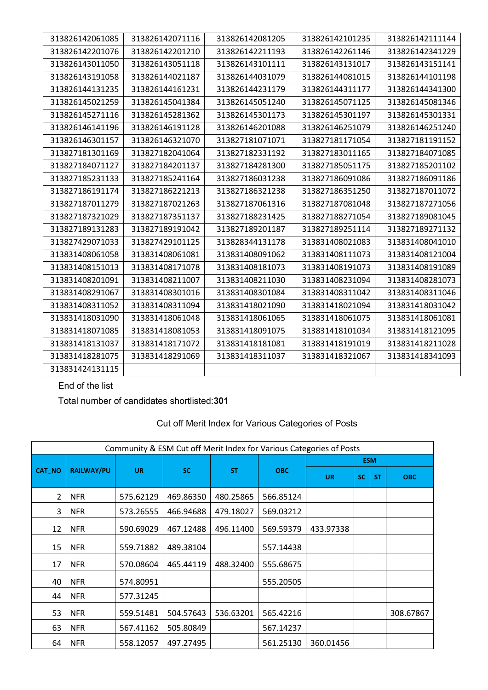| 313826142061085 | 313826142071116 | 313826142081205 | 313826142101235 | 313826142111144 |
|-----------------|-----------------|-----------------|-----------------|-----------------|
| 313826142201076 | 313826142201210 | 313826142211193 | 313826142261146 | 313826142341229 |
| 313826143011050 | 313826143051118 | 313826143101111 | 313826143131017 | 313826143151141 |
| 313826143191058 | 313826144021187 | 313826144031079 | 313826144081015 | 313826144101198 |
| 313826144131235 | 313826144161231 | 313826144231179 | 313826144311177 | 313826144341300 |
| 313826145021259 | 313826145041384 | 313826145051240 | 313826145071125 | 313826145081346 |
| 313826145271116 | 313826145281362 | 313826145301173 | 313826145301197 | 313826145301331 |
| 313826146141196 | 313826146191128 | 313826146201088 | 313826146251079 | 313826146251240 |
| 313826146301157 | 313826146321070 | 313827181071071 | 313827181171054 | 313827181191152 |
| 313827181301169 | 313827182041064 | 313827182331192 | 313827183011165 | 313827184071085 |
| 313827184071127 | 313827184201137 | 313827184281300 | 313827185051175 | 313827185201102 |
| 313827185231133 | 313827185241164 | 313827186031238 | 313827186091086 | 313827186091186 |
| 313827186191174 | 313827186221213 | 313827186321238 | 313827186351250 | 313827187011072 |
| 313827187011279 | 313827187021263 | 313827187061316 | 313827187081048 | 313827187271056 |
| 313827187321029 | 313827187351137 | 313827188231425 | 313827188271054 | 313827189081045 |
| 313827189131283 | 313827189191042 | 313827189201187 | 313827189251114 | 313827189271132 |
| 313827429071033 | 313827429101125 | 313828344131178 | 313831408021083 | 313831408041010 |
| 313831408061058 | 313831408061081 | 313831408091062 | 313831408111073 | 313831408121004 |
| 313831408151013 | 313831408171078 | 313831408181073 | 313831408191073 | 313831408191089 |
| 313831408201091 | 313831408211007 | 313831408211030 | 313831408231094 | 313831408281073 |
| 313831408291067 | 313831408301016 | 313831408301084 | 313831408311042 | 313831408311046 |
| 313831408311052 | 313831408311094 | 313831418021090 | 313831418021094 | 313831418031042 |
| 313831418031090 | 313831418061048 | 313831418061065 | 313831418061075 | 313831418061081 |
| 313831418071085 | 313831418081053 | 313831418091075 | 313831418101034 | 313831418121095 |
| 313831418131037 | 313831418171072 | 313831418181081 | 313831418191019 | 313831418211028 |
| 313831418281075 | 313831418291069 | 313831418311037 | 313831418321067 | 313831418341093 |
| 313831424131115 |                 |                 |                 |                 |

End of the list

Total number of candidates shortlisted:**301**

| Community & ESM Cut off Merit Index for Various Categories of Posts |                   |           |           |           |            |            |     |           |            |  |  |  |  |
|---------------------------------------------------------------------|-------------------|-----------|-----------|-----------|------------|------------|-----|-----------|------------|--|--|--|--|
|                                                                     |                   |           |           |           |            | <b>ESM</b> |     |           |            |  |  |  |  |
| <b>CAT_NO</b>                                                       | <b>RAILWAY/PU</b> | <b>UR</b> | <b>SC</b> | <b>ST</b> | <b>OBC</b> | <b>UR</b>  | SC. | <b>ST</b> | <b>OBC</b> |  |  |  |  |
| $\overline{2}$                                                      | <b>NFR</b>        | 575.62129 | 469.86350 | 480.25865 | 566.85124  |            |     |           |            |  |  |  |  |
| 3                                                                   | <b>NFR</b>        | 573.26555 | 466.94688 | 479.18027 | 569.03212  |            |     |           |            |  |  |  |  |
| 12                                                                  | <b>NFR</b>        | 590.69029 | 467.12488 | 496.11400 | 569.59379  | 433.97338  |     |           |            |  |  |  |  |
| 15                                                                  | <b>NFR</b>        | 559.71882 | 489.38104 |           | 557.14438  |            |     |           |            |  |  |  |  |
| 17                                                                  | <b>NFR</b>        | 570.08604 | 465.44119 | 488.32400 | 555.68675  |            |     |           |            |  |  |  |  |
| 40                                                                  | <b>NFR</b>        | 574.80951 |           |           | 555.20505  |            |     |           |            |  |  |  |  |
| 44                                                                  | <b>NFR</b>        | 577.31245 |           |           |            |            |     |           |            |  |  |  |  |
| 53                                                                  | <b>NFR</b>        | 559.51481 | 504.57643 | 536.63201 | 565.42216  |            |     |           | 308.67867  |  |  |  |  |
| 63                                                                  | <b>NFR</b>        | 567.41162 | 505.80849 |           | 567.14237  |            |     |           |            |  |  |  |  |
| 64                                                                  | <b>NFR</b>        | 558.12057 | 497.27495 |           | 561.25130  | 360.01456  |     |           |            |  |  |  |  |